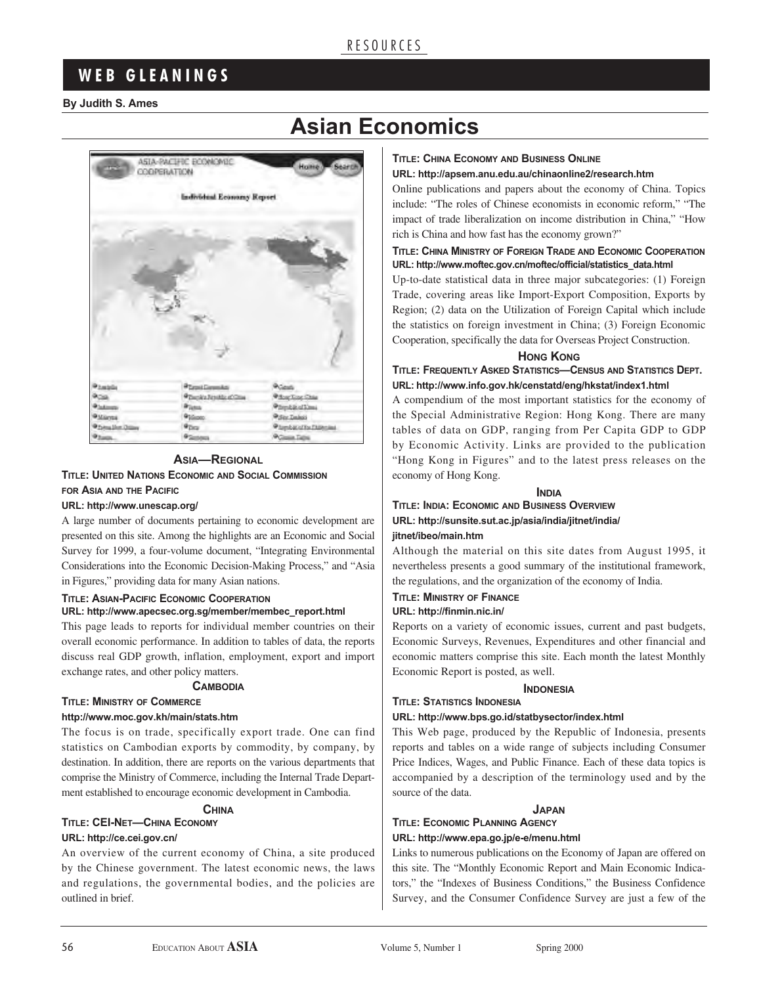## R E S O U R C E S

# **W E B G L E A N I N G S**

#### **By Judith S. Ames**





#### **ASIA—REGIONAL TITLE: UNITED NATIONS ECONOMIC AND SOCIAL COMMISSION FOR ASIA AND THE PACIFIC**

#### **URL: http://www.unescap.org/**

A large number of documents pertaining to economic development are presented on this site. Among the highlights are an Economic and Social Survey for 1999, a four-volume document, "Integrating Environmental Considerations into the Economic Decision-Making Process," and "Asia in Figures," providing data for many Asian nations.

#### **TITLE: ASIAN-PACIFIC ECONOMIC COOPERATION URL: http://www.apecsec.org.sg/member/membec\_report.html**

This page leads to reports for individual member countries on their overall economic performance. In addition to tables of data, the reports discuss real GDP growth, inflation, employment, export and import exchange rates, and other policy matters.

#### **CAMBODIA**

#### **TITLE: MINISTRY OF COMMERCE**

#### **http://www.moc.gov.kh/main/stats.htm**

The focus is on trade, specifically export trade. One can find statistics on Cambodian exports by commodity, by company, by destination. In addition, there are reports on the various departments that comprise the Ministry of Commerce, including the Internal Trade Department established to encourage economic development in Cambodia.

#### **CHINA**

#### **TITLE: CEI-NET—CHINA ECONOMY URL: http://ce.cei.gov.cn/**

An overview of the current economy of China, a site produced by the Chinese government. The latest economic news, the laws and regulations, the governmental bodies, and the policies are outlined in brief.

#### **TITLE: CHINA ECONOMY AND BUSINESS ONLINE**

#### **URL: http://apsem.anu.edu.au/chinaonline2/research.htm**

Online publications and papers about the economy of China. Topics include: "The roles of Chinese economists in economic reform," "The impact of trade liberalization on income distribution in China," "How rich is China and how fast has the economy grown?"

#### **TITLE: CHINA MINISTRY OF FOREIGN TRADE AND ECONOMIC COOPERATION URL: http://www.moftec.gov.cn/moftec/official/statistics\_data.html**

Up-to-date statistical data in three major subcategories: (1) Foreign Trade, covering areas like Import-Export Composition, Exports by Region; (2) data on the Utilization of Foreign Capital which include the statistics on foreign investment in China; (3) Foreign Economic Cooperation, specifically the data for Overseas Project Construction.

#### **HONG KONG**

**TITLE: FREQUENTLY ASKED STATISTICS—CENSUS AND STATISTICS DEPT. URL: http://www.info.gov.hk/censtatd/eng/hkstat/index1.html**

A compendium of the most important statistics for the economy of the Special Administrative Region: Hong Kong. There are many tables of data on GDP, ranging from Per Capita GDP to GDP by Economic Activity. Links are provided to the publication "Hong Kong in Figures" and to the latest press releases on the economy of Hong Kong.

**INDIA**

#### **TITLE: INDIA: ECONOMIC AND BUSINESS OVERVIEW URL: http://sunsite.sut.ac.jp/asia/india/jitnet/india/ jitnet/ibeo/main.htm**

Although the material on this site dates from August 1995, it nevertheless presents a good summary of the institutional framework, the regulations, and the organization of the economy of India.

#### **TITLE: MINISTRY OF FINANCE**

#### **URL: http://finmin.nic.in/**

Reports on a variety of economic issues, current and past budgets, Economic Surveys, Revenues, Expenditures and other financial and economic matters comprise this site. Each month the latest Monthly Economic Report is posted, as well.

#### **INDONESIA**

#### **TITLE: STATISTICS INDONESIA**

#### **URL: http://www.bps.go.id/statbysector/index.html**

This Web page, produced by the Republic of Indonesia, presents reports and tables on a wide range of subjects including Consumer Price Indices, Wages, and Public Finance. Each of these data topics is accompanied by a description of the terminology used and by the source of the data.

#### **JAPAN**

#### **TITLE: ECONOMIC PLANNING AGENCY URL: http://www.epa.go.jp/e-e/menu.html**

Links to numerous publications on the Economy of Japan are offered on this site. The "Monthly Economic Report and Main Economic Indicators," the "Indexes of Business Conditions," the Business Confidence Survey, and the Consumer Confidence Survey are just a few of the